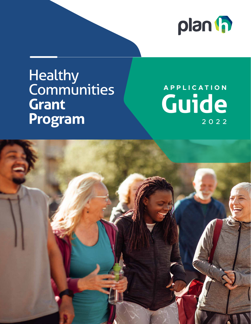

# Healthy **Communities Grant Program**

# **Guide APPLICATION** 2022

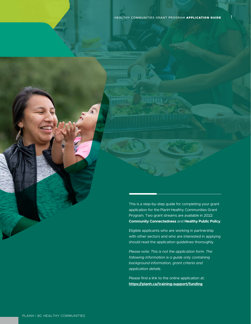This is a step-by-step guide for completing your grant application for the PlanH Healthy Communities Grant Program. Two grant streams are available in 2022: **Community Connectedness** and **Healthy Public Policy**.

Eligible applicants who are working in partnership with other sectors and who are interested in applying should read the application guidelines thoroughly.

*Please note: This is not the application form. The following information is a guide only containing background information, grant criteria and application details.*

Please find a link to the online application at: **<https://planh.ca/training-support/funding>**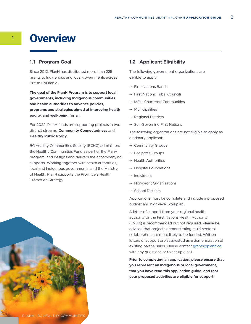# <sup>1</sup> **Overview**

#### **1.1 Program Goal**

Since 2012, PlanH has distributed more than 225 grants to Indigenous and local governments across British Columbia.

**The goal of the PlanH Program is to support local governments, including Indigenous communities and health authorities to advance policies, programs and strategies aimed at improving health equity, and well-being for all.**

For 2022, PlanH funds are supporting projects in two distinct streams: **Community Connectedness** and **Healthy Public Policy**.

BC Healthy Communities Society (BCHC) administers the Healthy Communities Fund as part of the PlanH program, and designs and delivers the accompanying supports. Working together with health authorities, local and Indigenous governments, and the Ministry of Health, PlanH supports the Province's Health Promotion Strategy.

#### **1.2 Applicant Eligibility**

The following government organizations are eligible to apply:

- → First Nations Bands
- → First Nations Tribal Councils
- → Métis Chartered Communities
- → Municipalities
- → Regional Districts
- → Self-Governing First Nations

The following organizations are not eligible to apply as a primary applicant:

- → Community Groups
- → For-profit Groups
- $\rightarrow$  Health Authorities
- → Hospital Foundations
- → Individuals
- $\rightarrow$  Non-profit Organizations
- → School Districts

Applications must be complete and include a proposed budget and high-level workplan.

A letter of support from your regional health authority or the First Nations Health Authority (FNHA) is recommended but not required. Please be advised that projects demonstrating multi-sectoral collaboration are more likely to be funded. Written letters of support are suggested as a demonstration of existing partnerships. Please contact [grants@planh.ca](mailto:grants%40planh.ca?subject=) with any questions or to set up a call.

**Prior to completing an application, please ensure that you represent an Indigenous or local government, that you have read this application guide, and that your proposed activities are eligible for support.**

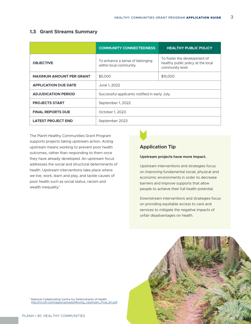### **1.3 Grant Streams Summary**

|                                 | <b>COMMUNITY CONNECTEDNESS</b>                             | <b>HEALTHY PUBLIC POLICY</b>                                                           |  |
|---------------------------------|------------------------------------------------------------|----------------------------------------------------------------------------------------|--|
| <b>OBJECTIVE</b>                | To enhance a sense of belonging<br>within local community. | To foster the development of<br>healthy public policy at the local<br>community level. |  |
| <b>MAXIMUM AMOUNT PER GRANT</b> | \$5,000                                                    | \$15,000                                                                               |  |
| <b>APPLICATION DUE DATE</b>     | June 1, 2022                                               |                                                                                        |  |
| <b>ADJUDICATION PERIOD</b>      | Successful applicants notified in early July.              |                                                                                        |  |
| <b>PROJECTS START</b>           | September 1, 2022                                          |                                                                                        |  |
| <b>FINAL REPORTS DUE</b>        | October 1, 2023                                            |                                                                                        |  |
| <b>LATEST PROJECT END</b>       | September 2023                                             |                                                                                        |  |

The PlanH Healthy Communities Grant Program supports projects taking upstream action. Acting upstream means working to prevent poor health outcomes, rather than responding to them once they have already developed. An upstream focus addresses the social and structural determinants of health. Upstream interventions take place where we live, work, learn and play, and tackle causes of poor health such as social status, racism and wealth inequality.<sup>1</sup>



## **Application Tip**

#### **Upstream projects have more impact.**

Upstream interventions and strategies focus on improving fundamental social, physical and economic environments in order to decrease barriers and improve supports that allow people to achieve their full health potential.

Downstream interventions and strategies focus on providing equitable access to care and services to mitigate the negative impacts of unfair disadvantages on health.



<sup>1</sup> National Collaborating Centre for Determinants of Health. [http://nccdh.ca/images/uploads/Moving\\_Upstream\\_Final\\_En.pdf](http://nccdh.ca/images/uploads/Moving_Upstream_Final_En.pdf)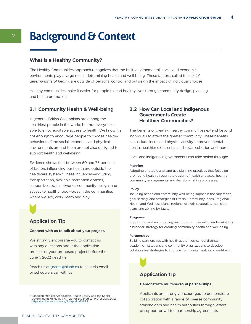# <sup>2</sup> **Background & Context**

#### **What is a Healthy Community?**

The Healthy Communities approach recognizes that the built, environmental, social and economic environments play a large role in determining health and well-being. These factors, called the *social determinants of health*, are outside of personal control and outweigh the impact of individual choices.

Healthy communities make it easier for people to lead healthy lives through community design, planning and health promotion.

#### **2.1 Community Health & Well-being**

In general, British Columbians are among the healthiest people in the world, but not everyone is able to enjoy equitable access to health. We know it's not enough to encourage people to choose healthy behaviours if the social, economic and physical environments around them are not also designed to support health and well-being.

Evidence shows that between 60 and 75 per cent of factors influencing our health are outside the healthcare system.2 These influences—including transportation, available recreation options, supportive social networks, community design, and access to healthy food—exist in the communities where we live, work, learn and play.



### **Application Tip**

#### **Connect with us to talk about your project.**

We strongly encourage you to contact us with any questions about the application process or your proposed project before the June 1, 2022 deadline.

Reach us at [grants@planh.ca](mailto:grants%40planh.ca?subject=) to chat via email or schedule a call with us. **Application Tip** 

<sup>2</sup> Canadian Medical Association. Health Equity and the Social Determinants of Health: A Role for the Medical Profession. 2012. <https://policybase.cma.ca/link/policy10672>

### **2.2 How Can Local and Indigenous Governments Create Healthier Communities?**

The benefits of creating healthy communities extend beyond individuals to affect the greater community. These benefits can include increased physical activity, improved mental health, healthier diets, enhanced social cohesion and more.

Local and Indigenous governments can take action through:

#### **Planning**

Adopting strategic and land use planning practices that focus on promoting health through the design of healthier places, healthy community engagements and decision-making processes.

#### **Policy**

Including health and community well-being impact in the objectives, goal-setting, and strategies of Official Community Plans, Regional Health and Wellness plans, regional growth strategies, municipal plans and zoning by-laws.

#### **Programs**

Supporting and encouraging neighbourhood-level projects linked to a broader strategy for creating community health and well-being.

#### **Partnerships**

Building partnerships with health authorities, school districts, academic institutions and community organizations to develop collaborative strategies to improve community health and well-being.



#### **Demonstrate multi-sectoral partnerships.**

Applicants are strongly encouraged to demonstrate collaboration with a range of diverse community stakeholders and health authorities through letters of support or written partnership agreements.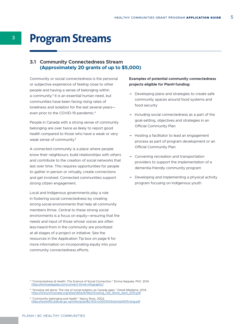# <sup>3</sup> **Program Streams**

### **3.1 Community Connectedness Stream (Approximately 20 grants of up to \$5,000)**

Community or social connectedness is the personal or subjective experience of feeling close to other people and having a sense of belonging within a community.<sup>3</sup> It is an essential human need, but communities have been facing rising rates of loneliness and isolation for the last several years even prior to the COVID-19 pandemic.<sup>4</sup>

People in Canada with a strong sense of community belonging are over twice as likely to report good health compared to those who have a weak or very weak sense of community.<sup>5</sup>

A connected community is a place where people know their neighbours, build relationships with others and contribute to the creation of social networks that last over time. This requires opportunities for people to gather in person or virtually, create connections and get involved. Connected communities support strong citizen engagement.

Local and Indigenous governments play a role in fostering social connectedness by creating strong social environments that help all community members thrive. Central to these strong social environments is a focus on equity—ensuring that the needs and input of those whose voices are often less-heard-from in the community are prioritized at all stages of a project or initiative. See the resources in the Application Tip box on page 6 for more information on incorporating equity into your community connectedness efforts.

#### **Examples of potential community connectedness projects eligible for PlanH funding:**

- → Developing plans and strategies to create safe community spaces around food systems and food security
- → Including social connectedness as a part of the goal-setting, objectives and strategies in an Official Community Plan
- → Hosting a facilitator to lead an engagement process as part of program development or an Official Community Plan
- → Convening recreation and transportation providers to support the implementation of a dementia-friendly community program
- $\rightarrow$  Developing and implementing a physical activity program focusing on Indigenous youth

<sup>3</sup> "Connectedness & Health: The Science of Social Connection." Emma Seppala, PhD. 2014. <https://emmaseppala.com/connect-thrive-infographic/>

<sup>&</sup>lt;sup>4</sup> "Growing old alone: The rise of social isolation as Canada ages." Derek Miedema. 2014. [https://www.imfcanada.org/sites/default/files/Growing\\_Old\\_Alone\\_April\\_2014.pdf](https://www.imfcanada.org/sites/default/files/Growing_Old_Alone_April_2014.pdf)

<sup>&</sup>lt;sup>5</sup> "Community belonging and health." Nancy Ross. 2002.<br><https://www150.statcan.gc.ca/n1/en/pub/82-003-x/2001003/article/6105-eng.pdf>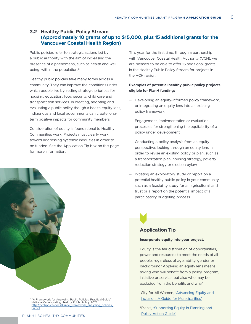### **3.2 Healthy Public Policy Stream (Approximately 10 grants of up to \$15,000, plus 15 additional grants for the Vancouver Coastal Health Region)**

Public policies refer to strategic actions led by a public authority with the aim of increasing the presence of a phenomena, such as health and wellbeing, within the population.<sup>6</sup>

Healthy public policies take many forms across a community. They can improve the conditions under which people live by setting strategic priorities for housing, education, food security, child care and transportation services. In creating, adopting and evaluating a public policy though a health equity lens, Indigenous and local governments can create longterm positive impacts for community members.

Consideration of equity is foundational to Healthy Communities work. Projects must clearly work toward addressing systemic inequities in order to be funded. See the Application Tip box on this page for more information.

This year for the first time, through a partnership with Vancouver Coastal Health Authority (VCH), we are pleased to be able to offer 15 additional grants in the Healthy Public Policy Stream for projects in the VCH region.

#### **Examples of potential healthy public policy projects eligible for PlanH funding:**

- $\rightarrow$  Developing an equity-informed policy framework, or integrating an equity lens into an existing policy framework
- → Engagement, implementation or evaluation processes for strengthening the equitability of a policy under development
- → Conducting a policy analysis from an equity perspective; looking through an equity lens in order to revise an existing policy or plan, such as a transportation plan, housing strategy, poverty reduction strategy or election bylaw
- → Initiating an exploratory study or report on a potential healthy public policy in your community, such as a feasibility study for an agricultural land trust or a report on the potential impact of a participatory budgeting process

### **Application Tip**

#### **Incorporate equity into your project.**

Equity is the fair distribution of opportunities, power and resources to meet the needs of all people, regardless of age, ability, gender or background.<sup>*I*</sup> Applying an equity lens means asking who will benefit from a policy, program, initiative or service, but also who may be excluded from the benefits and why.<sup>ii</sup>

- i City for All Women, ['Advancing Equity and](https://www.cawi-ivtf.org/sites/default/files/publications/advancing-equity-inclusion-web_0.pdf)  [Inclusion: A Guide for Municipalities'](https://www.cawi-ivtf.org/sites/default/files/publications/advancing-equity-inclusion-web_0.pdf)
- ii PlanH, ['Supporting Equity in Planning and](https://planh.ca/resources/action-guides/supporting-equity-planning-and-policy-action-guide)  [Policy Action Guide'](https://planh.ca/resources/action-guides/supporting-equity-planning-and-policy-action-guide)



<sup>6</sup> "A Framework for Analyzing Public Policies: Practical Guide" National Collaborating Healthy Public Policy. 2012.<br><u>[http://ncchpp.ca/docs/Guide\\_framework\\_analyzing\\_policies\\_](http://ncchpp.ca/docs/Guide_framework_analyzing_policies_En.pdf)</u> [En.pdf](http://ncchpp.ca/docs/Guide_framework_analyzing_policies_En.pdf)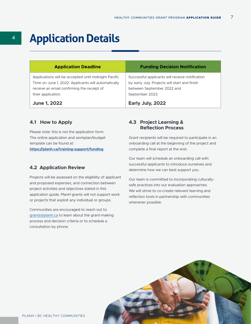# <sup>4</sup> **Application Details**

| <b>Application Deadline</b>                                                                                                                                                     | <b>Funding Decision Notification</b>                                                                                                              |
|---------------------------------------------------------------------------------------------------------------------------------------------------------------------------------|---------------------------------------------------------------------------------------------------------------------------------------------------|
| Applications will be accepted until midnight Pacific<br>Time on June 1, 2022. Applicants will automatically<br>receive an email confirming the receipt of<br>their application. | Successful applicants will receive notification<br>by early July. Projects will start and finish<br>between September 2022 and<br>September 2023. |
| <b>June 1, 2022</b>                                                                                                                                                             | Early July, 2022                                                                                                                                  |

#### **4.1 How to Apply**

Please note: this is not the application form. The online application and workplan/budget template can be found at: **<https://planh.ca/training-support/funding>**

#### **4.2 Application Review**

Projects will be assessed on the eligibility of applicant and proposed expenses, and connection between project activities and objectives stated in this application guide. PlanH grants will not support work or projects that exploit any individual or groups.

Communities are encouraged to reach out to [grants@planh.ca](mailto:grants%40planh.ca?subject=) to learn about the grant-making process and decision criteria or to schedule a consultation by phone.

### **4.3 Project Learning & Reflection Process**

Grant recipients will be required to participate in an onboarding call at the beginning of the project and complete a final report at the end.

Our team will schedule an onboarding call with successful applicants to introduce ourselves and determine how we can best support you.

Our team is committed to incorporating culturallysafe practices into our evaluation approaches. We will strive to co-create relevant learning and reflection tools in partnership with communities whenever possible.

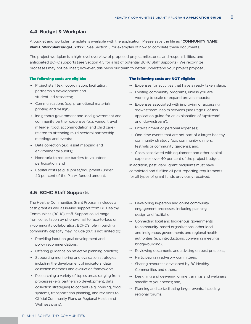#### **4.4 Budget & Workplan**

A budget and workplan template is available with the application. Please save the file as "**COMMUNITY NAME\_ PlanH\_WorkplanBudget\_2022**". See Section 5 for examples of how to complete these documents.

The project workplan is a high-level overview of proposed project milestones and responsibilities, and anticipated BCHC supports (see Section 4.5 for a list of potential BCHC Staff Supports). We recognize processes may not be linear; however, this helps our team to better understand your project proposal.

#### The following costs are eligible:

- → Project staff (e.g. coordination, facilitation, partnership development and student-led research);
- → Communications (e.g. promotional materials, printing and design);
- → Indigenous government and local government and community partner expenses (e.g. venue, travel mileage, food, accommodation and child care) related to attending multi-sectoral partnership meetings and events;
- → Data collection (e.g. asset mapping and environmental audits);
- → Honoraria to reduce barriers to volunteer participation; and
- → Capital costs (e.g. supplies/equipment) under 40 per cent of the PlanH-funded amount.

#### **4.5 BCHC Staff Supports**

The Healthy Communities Grant Program includes a cash grant as well as in-kind support from BC Healthy Communities (BCHC) staff. Support could range from consultation by phone/email to face-to-face or in-community collaboration. BCHC's role in building community capacity may include (but is not limited to):

- → Providing input on goal development and policy recommendations;
- → Offering guidance on reflective planning practice;
- $\rightarrow$  Supporting monitoring and evaluation strategies including the development of indicators, data collection methods and evaluation frameworks.
- → Researching a variety of topics areas ranging from processes (e.g. partnership development, data collection strategies) to content (e.g. housing, food systems, transportation planning, and revisions to Official Community Plans or Regional Health and Wellness plans);

#### The following costs are NOT eligible:

- → Expenses for activities that have already taken place;
- → Existing community programs, unless you are working to scale or expand proven impacts;
- $\rightarrow$  Expenses associated with improving or accessing 'downstream' health services (see Page 6 of this application guide for an explanation of 'upstream' and 'downstream');
- → Entertainment or personal expenses;
- → One-time events that are not part of a larger healthy community strategy (e.g. community dinners, festivals or community gardens); and,
- → Costs associated with equipment and other capital expenses over 40 per cent of the project budget.

In addition, past PlanH grant recipients must have completed and fulfilled all past reporting requirements for all types of grant funds previously received.

- → Developing in-person and online community engagement processes, including planning, design and facilitation;
- → Connecting local and Indigenous governments to community-based organizations, other local and Indigenous governments and regional health authorities (e.g. introductions, convening meetings, bridge-building);
- → Reviewing documents and advising on best practices;
- $\rightarrow$  Participating in advisory committees;
- → Sharing resources developed by BC Healthy Communities and others;
- → Designing and delivering online trainings and webinars specific to your needs; and,
- → Planning and co-facilitating larger events, including regional forums.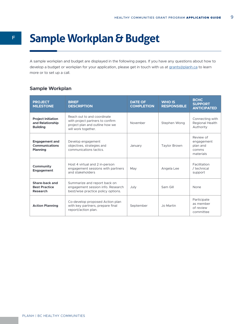# <sup>F</sup> **Sample Workplan & Budget**

A sample workplan and budget are displayed in the following pages. If you have any questions about how to develop a budget or workplan for your application, please get in touch with us at [grants@planh.ca](mailto:grants%40planh.ca?subject=) to learn more or to set up a call.

# **Sample Workplan**

| <b>PROJECT</b><br><b>MILESTONE</b>                                | <b>BRIEF</b><br><b>DESCRIPTION</b>                                                                                        | <b>DATE OF</b><br><b>COMPLETION</b> | <b>WHO IS</b><br><b>RESPONSIBLE</b> | <b>BCHC</b><br><b>SUPPORT</b><br><b>ANTICIPATED</b>       |
|-------------------------------------------------------------------|---------------------------------------------------------------------------------------------------------------------------|-------------------------------------|-------------------------------------|-----------------------------------------------------------|
| <b>Project Initiation</b><br>and Relationship<br><b>Building</b>  | Reach out to and coordinate<br>with project partners to confirm<br>project plan and outline how we<br>will work together. | November                            | Stephen Wong                        | Connecting with<br>Regional Health<br>Authority           |
| <b>Engagement and</b><br><b>Communications</b><br><b>Planning</b> | Develop engagement<br>objectives, strategies and<br>communications tactics                                                | January                             | <b>Taylor Brown</b>                 | Review of<br>engagement<br>plan and<br>comms<br>materials |
| Community<br><b>Engagement</b>                                    | Host 4 virtual and 2 in-person<br>engagement sessions with partners<br>and stakeholders                                   | May                                 | Angela Lee                          | Facilitation<br>/ technical<br>support                    |
| Share-back and<br><b>Best Practice</b><br><b>Research</b>         | Summarize and report back on<br>engagement session info. Research<br>best/wise practice policy options.                   | July                                | Sam Gill                            | None                                                      |
| <b>Action Planning</b>                                            | Co-develop proposed Action plan<br>with key partners, prepare final<br>report/action plan.                                | September                           | Jo Martin                           | Participate<br>as member<br>of review<br>committee        |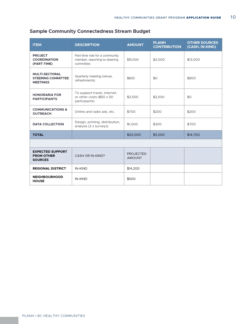| <b>ITEM</b>                                                           | <b>DESCRIPTION</b>                                                           | <b>AMOUNT</b>                     | <b>PLANH</b><br><b>CONTRIBUTION</b> | <b>OTHER SOURCES</b><br>(CASH, IN-KIND) |
|-----------------------------------------------------------------------|------------------------------------------------------------------------------|-----------------------------------|-------------------------------------|-----------------------------------------|
| <b>PROJECT</b><br><b>COORDINATION</b><br>(PART-TIME)                  | Part-time role for a community<br>member, reporting to steering<br>committee | \$15,000                          | \$2,000                             | \$13,000                                |
| <b>MULTI-SECTORAL</b><br><b>STEERING COMMITTEE</b><br><b>MEETINGS</b> | Quarterly meeting (venue,<br>refreshments)                                   | \$800                             | \$0                                 | \$800                                   |
| <b>HONORARIA FOR</b><br><b>PARTICIPANTS</b>                           | To support travel, internet,<br>or other costs (\$50 x 50<br>participants)   | \$2,500                           | \$2,500                             | \$0                                     |
| <b>COMMUNICATIONS &amp;</b><br><b>OUTREACH</b>                        | Online and radio ads, etc.                                                   | \$700                             | \$200                               | \$200                                   |
| <b>DATA COLLECTION</b>                                                | Design, printing, distribution,<br>analysis $(2 \times$ surveys)             | \$1,000                           | \$300                               | \$700                                   |
| <b>TOTAL</b>                                                          |                                                                              | \$20,000                          | \$5,000                             | \$14,700                                |
|                                                                       |                                                                              |                                   |                                     |                                         |
| <b>EXPECTED SUPPORT</b><br><b>FROM OTHER</b><br><b>SOURCES</b>        | CASH OR IN-KIND?                                                             | <b>PROJECTED</b><br><b>AMOUNT</b> |                                     |                                         |
| <b>REGIONAL DISTRICT</b>                                              | <b>IN-KIND</b>                                                               | \$14,200                          |                                     |                                         |
| <b>NEIGHBOURHOOD</b><br><b>HOUSE</b>                                  | <b>IN-KIND</b>                                                               | \$500                             |                                     |                                         |

# **Sample Community Connectedness Stream Budget**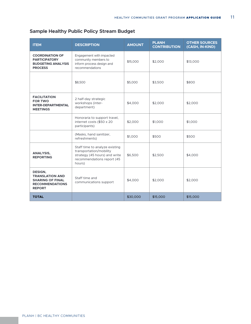| <b>ITEM</b>                                                                                             | <b>DESCRIPTION</b>                                                                                                                 | <b>AMOUNT</b> | <b>PLANH</b><br><b>CONTRIBUTION</b> | <b>OTHER SOURCES</b><br>(CASH, IN-KIND) |
|---------------------------------------------------------------------------------------------------------|------------------------------------------------------------------------------------------------------------------------------------|---------------|-------------------------------------|-----------------------------------------|
| <b>COORDINATION OF</b><br><b>PARTICIPATORY</b><br><b>BUDGETING ANALYSIS</b><br><b>PROCESS</b>           | Engagement with impacted<br>community members to<br>inform process design and<br>recommendations                                   | \$15,000      | \$2,000                             | \$13,000                                |
|                                                                                                         | \$8,500                                                                                                                            | \$5,000       | \$3,500                             | \$800                                   |
| <b>FACILITATION</b><br><b>FOR TWO</b><br><b>INTER-DEPARTMENTAL</b><br><b>MEETINGS</b>                   | 2 half-day strategic<br>workshops (inter-<br>department)                                                                           | \$4,000       | \$2,000                             | \$2,000                                 |
|                                                                                                         | Honoraria to support travel,<br>internet costs (\$50 x 20<br>participants)                                                         | \$2,000       | \$1,000                             | \$1,000                                 |
|                                                                                                         | (Masks, hand sanitizer,<br>refreshments)                                                                                           | \$1,000       | \$500                               | \$500                                   |
| <b>ANALYSIS,</b><br><b>REPORTING</b>                                                                    | Staff time to analyze existing<br>transportation/mobility<br>strategy (45 hours) and write<br>recommendations report (45<br>hours) | \$6,500       | \$2,500                             | \$4,000                                 |
| DESIGN,<br><b>TRANSLATION AND</b><br><b>SHARING OF FINAL</b><br><b>RECOMMENDATIONS</b><br><b>REPORT</b> | Staff time and<br>communications support                                                                                           | \$4,000       | \$2,000                             | \$2,000                                 |
| <b>TOTAL</b>                                                                                            |                                                                                                                                    | \$30,000      | \$15,000                            | \$15,000                                |

# **Sample Healthy Public Policy Stream Budget**